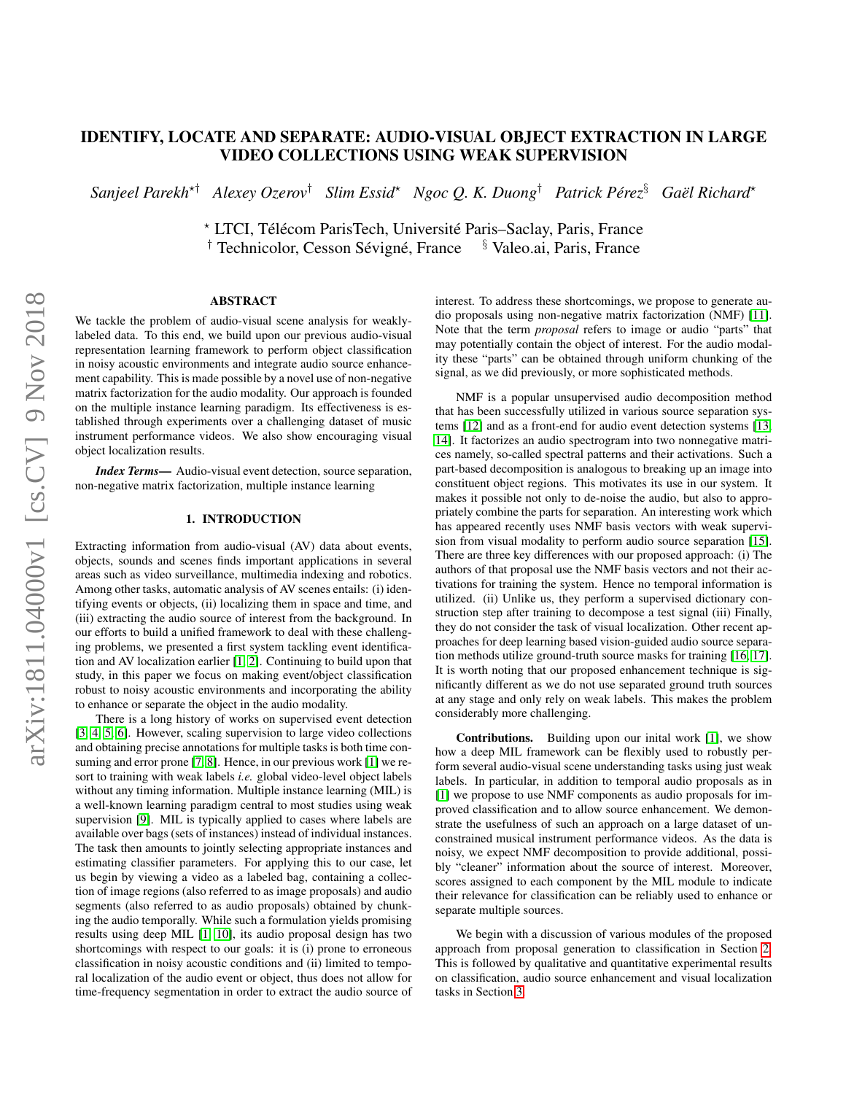# IDENTIFY, LOCATE AND SEPARATE: AUDIO-VISUAL OBJECT EXTRACTION IN LARGE VIDEO COLLECTIONS USING WEAK SUPERVISION

 $S$ anjeel Parekh<sup>\*†</sup> Alexey Ozerov<sup>†</sup> Slim Essid<sup>\*</sup> Ngoc Q. K. Duong<sup>†</sup> Patrick Pérez ${}^{s}$  Gaël Richard\*

\* LTCI, Télécom ParisTech, Université Paris–Saclay, Paris, France <sup> $\dagger$ </sup> Technicolor, Cesson Sévigné, France § Valeo.ai, Paris, France

## ABSTRACT

We tackle the problem of audio-visual scene analysis for weaklylabeled data. To this end, we build upon our previous audio-visual representation learning framework to perform object classification in noisy acoustic environments and integrate audio source enhancement capability. This is made possible by a novel use of non-negative matrix factorization for the audio modality. Our approach is founded on the multiple instance learning paradigm. Its effectiveness is established through experiments over a challenging dataset of music instrument performance videos. We also show encouraging visual object localization results.

*Index Terms*— Audio-visual event detection, source separation, non-negative matrix factorization, multiple instance learning

### 1. INTRODUCTION

Extracting information from audio-visual (AV) data about events, objects, sounds and scenes finds important applications in several areas such as video surveillance, multimedia indexing and robotics. Among other tasks, automatic analysis of AV scenes entails: (i) identifying events or objects, (ii) localizing them in space and time, and (iii) extracting the audio source of interest from the background. In our efforts to build a unified framework to deal with these challenging problems, we presented a first system tackling event identification and AV localization earlier [\[1,](#page-4-0) [2\]](#page-4-1). Continuing to build upon that study, in this paper we focus on making event/object classification robust to noisy acoustic environments and incorporating the ability to enhance or separate the object in the audio modality.

There is a long history of works on supervised event detection [\[3,](#page-4-2) [4,](#page-4-3) [5,](#page-4-4) [6\]](#page-4-5). However, scaling supervision to large video collections and obtaining precise annotations for multiple tasks is both time consuming and error prone [\[7,](#page-4-6) [8\]](#page-4-7). Hence, in our previous work [\[1\]](#page-4-0) we resort to training with weak labels *i.e.* global video-level object labels without any timing information. Multiple instance learning (MIL) is a well-known learning paradigm central to most studies using weak supervision [\[9\]](#page-4-8). MIL is typically applied to cases where labels are available over bags (sets of instances) instead of individual instances. The task then amounts to jointly selecting appropriate instances and estimating classifier parameters. For applying this to our case, let us begin by viewing a video as a labeled bag, containing a collection of image regions (also referred to as image proposals) and audio segments (also referred to as audio proposals) obtained by chunking the audio temporally. While such a formulation yields promising results using deep MIL [\[1,](#page-4-0) [10\]](#page-4-9), its audio proposal design has two shortcomings with respect to our goals: it is (i) prone to erroneous classification in noisy acoustic conditions and (ii) limited to temporal localization of the audio event or object, thus does not allow for time-frequency segmentation in order to extract the audio source of interest. To address these shortcomings, we propose to generate audio proposals using non-negative matrix factorization (NMF) [\[11\]](#page-4-10). Note that the term *proposal* refers to image or audio "parts" that may potentially contain the object of interest. For the audio modality these "parts" can be obtained through uniform chunking of the signal, as we did previously, or more sophisticated methods.

NMF is a popular unsupervised audio decomposition method that has been successfully utilized in various source separation systems [\[12\]](#page-4-11) and as a front-end for audio event detection systems [\[13,](#page-4-12) [14\]](#page-4-13). It factorizes an audio spectrogram into two nonnegative matrices namely, so-called spectral patterns and their activations. Such a part-based decomposition is analogous to breaking up an image into constituent object regions. This motivates its use in our system. It makes it possible not only to de-noise the audio, but also to appropriately combine the parts for separation. An interesting work which has appeared recently uses NMF basis vectors with weak supervision from visual modality to perform audio source separation [\[15\]](#page-4-14). There are three key differences with our proposed approach: (i) The authors of that proposal use the NMF basis vectors and not their activations for training the system. Hence no temporal information is utilized. (ii) Unlike us, they perform a supervised dictionary construction step after training to decompose a test signal (iii) Finally, they do not consider the task of visual localization. Other recent approaches for deep learning based vision-guided audio source separation methods utilize ground-truth source masks for training [\[16,](#page-4-15) [17\]](#page-4-16). It is worth noting that our proposed enhancement technique is significantly different as we do not use separated ground truth sources at any stage and only rely on weak labels. This makes the problem considerably more challenging.

Contributions. Building upon our inital work [\[1\]](#page-4-0), we show how a deep MIL framework can be flexibly used to robustly perform several audio-visual scene understanding tasks using just weak labels. In particular, in addition to temporal audio proposals as in [\[1\]](#page-4-0) we propose to use NMF components as audio proposals for improved classification and to allow source enhancement. We demonstrate the usefulness of such an approach on a large dataset of unconstrained musical instrument performance videos. As the data is noisy, we expect NMF decomposition to provide additional, possibly "cleaner" information about the source of interest. Moreover, scores assigned to each component by the MIL module to indicate their relevance for classification can be reliably used to enhance or separate multiple sources.

We begin with a discussion of various modules of the proposed approach from proposal generation to classification in Section [2.](#page-1-0) This is followed by qualitative and quantitative experimental results on classification, audio source enhancement and visual localization tasks in Section [3.](#page-2-0)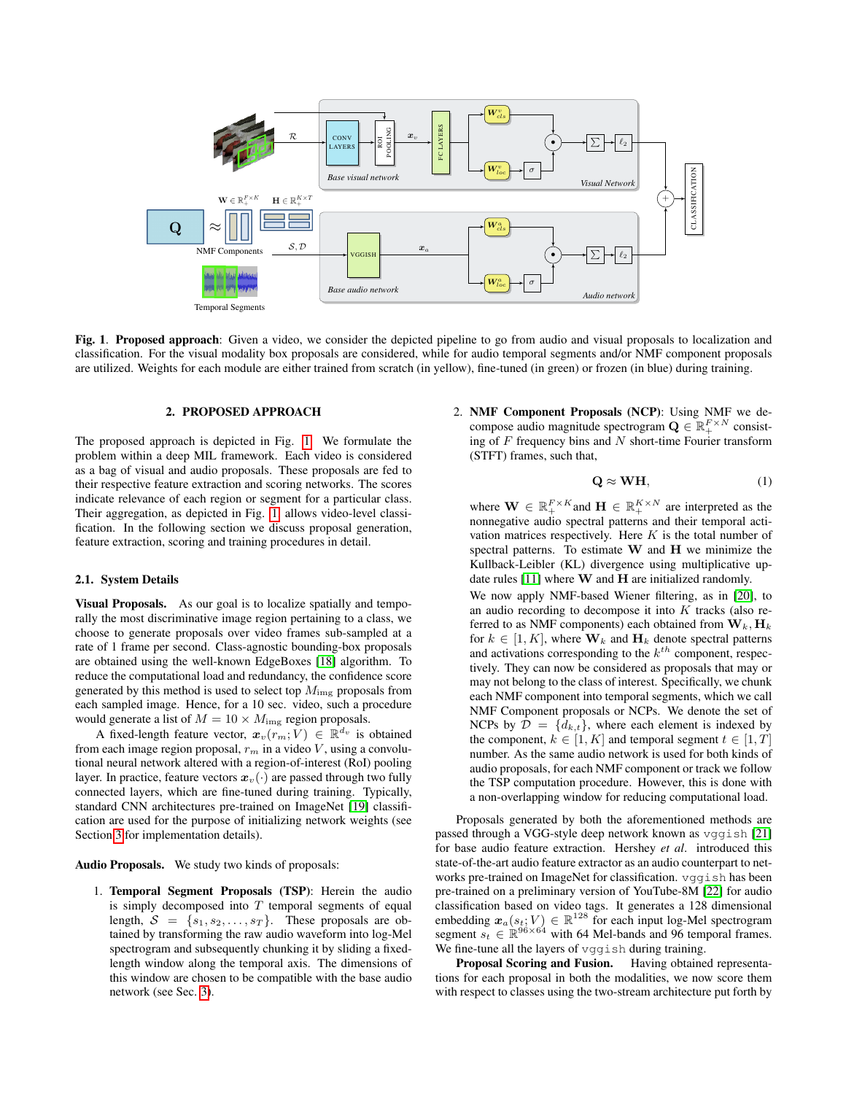

<span id="page-1-1"></span>Fig. 1. Proposed approach: Given a video, we consider the depicted pipeline to go from audio and visual proposals to localization and classification. For the visual modality box proposals are considered, while for audio temporal segments and/or NMF component proposals are utilized. Weights for each module are either trained from scratch (in yellow), fine-tuned (in green) or frozen (in blue) during training.

### 2. PROPOSED APPROACH

<span id="page-1-0"></span>The proposed approach is depicted in Fig. [1.](#page-1-1) We formulate the problem within a deep MIL framework. Each video is considered as a bag of visual and audio proposals. These proposals are fed to their respective feature extraction and scoring networks. The scores indicate relevance of each region or segment for a particular class. Their aggregation, as depicted in Fig. [1,](#page-1-1) allows video-level classification. In the following section we discuss proposal generation, feature extraction, scoring and training procedures in detail.

#### <span id="page-1-2"></span>2.1. System Details

Visual Proposals. As our goal is to localize spatially and temporally the most discriminative image region pertaining to a class, we choose to generate proposals over video frames sub-sampled at a rate of 1 frame per second. Class-agnostic bounding-box proposals are obtained using the well-known EdgeBoxes [\[18\]](#page-4-17) algorithm. To reduce the computational load and redundancy, the confidence score generated by this method is used to select top  $M_{\rm img}$  proposals from each sampled image. Hence, for a 10 sec. video, such a procedure would generate a list of  $M = 10 \times M_{\text{img}}$  region proposals.

A fixed-length feature vector,  $x_v(r_m; V) \in \mathbb{R}^{d_v}$  is obtained from each image region proposal,  $r_m$  in a video V, using a convolutional neural network altered with a region-of-interest (RoI) pooling layer. In practice, feature vectors  $x_v(\cdot)$  are passed through two fully connected layers, which are fine-tuned during training. Typically, standard CNN architectures pre-trained on ImageNet [\[19\]](#page-4-18) classification are used for the purpose of initializing network weights (see Section [3](#page-2-0) for implementation details).

Audio Proposals. We study two kinds of proposals:

1. Temporal Segment Proposals (TSP): Herein the audio is simply decomposed into  $T$  temporal segments of equal length,  $S = \{s_1, s_2, \ldots, s_T\}$ . These proposals are obtained by transforming the raw audio waveform into log-Mel spectrogram and subsequently chunking it by sliding a fixedlength window along the temporal axis. The dimensions of this window are chosen to be compatible with the base audio network (see Sec. [3\)](#page-2-0).

2. NMF Component Proposals (NCP): Using NMF we decompose audio magnitude spectrogram  $\mathbf{Q} \in \mathbb{R}_+^{F \times N}$  consisting of  $F$  frequency bins and  $N$  short-time Fourier transform (STFT) frames, such that,

$$
Q \approx WH, \tag{1}
$$

where  $\mathbf{W} \in \mathbb{R}_+^{F \times K}$  and  $\mathbf{H} \in \mathbb{R}_+^{K \times N}$  are interpreted as the nonnegative audio spectral patterns and their temporal activation matrices respectively. Here  $K$  is the total number of spectral patterns. To estimate  $W$  and  $H$  we minimize the Kullback-Leibler (KL) divergence using multiplicative update rules  $[11]$  where **W** and **H** are initialized randomly. We now apply NMF-based Wiener filtering, as in [\[20\]](#page-4-19), to an audio recording to decompose it into  $K$  tracks (also referred to as NMF components) each obtained from  $W_k$ ,  $H_k$ for  $k \in [1, K]$ , where  $\mathbf{W}_k$  and  $\mathbf{H}_k$  denote spectral patterns and activations corresponding to the  $k^{th}$  component, respectively. They can now be considered as proposals that may or may not belong to the class of interest. Specifically, we chunk each NMF component into temporal segments, which we call NMF Component proposals or NCPs. We denote the set of NCPs by  $\mathcal{D} = \{d_{k,t}\}\$ , where each element is indexed by the component,  $k \in [1, K]$  and temporal segment  $t \in [1, T]$ number. As the same audio network is used for both kinds of audio proposals, for each NMF component or track we follow the TSP computation procedure. However, this is done with a non-overlapping window for reducing computational load.

Proposals generated by both the aforementioned methods are passed through a VGG-style deep network known as vggish [\[21\]](#page-4-20) for base audio feature extraction. Hershey *et al*. introduced this state-of-the-art audio feature extractor as an audio counterpart to networks pre-trained on ImageNet for classification. vggish has been pre-trained on a preliminary version of YouTube-8M [\[22\]](#page-4-21) for audio classification based on video tags. It generates a 128 dimensional embedding  $x_a(s_t; V) \in \mathbb{R}^{128}$  for each input log-Mel spectrogram segment  $s_t \in \mathbb{R}^{96 \times 64}$  with 64 Mel-bands and 96 temporal frames. We fine-tune all the layers of vggish during training.

Proposal Scoring and Fusion. Having obtained representations for each proposal in both the modalities, we now score them with respect to classes using the two-stream architecture put forth by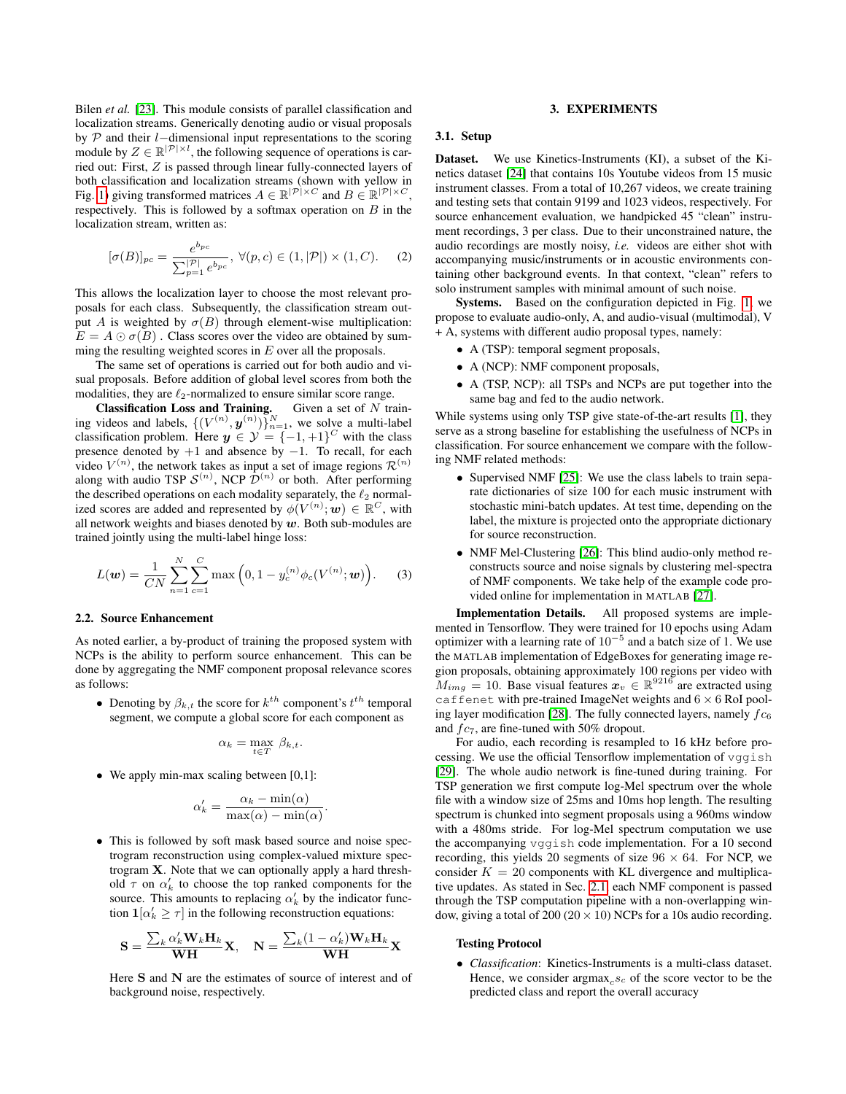Bilen *et al.* [\[23\]](#page-4-22). This module consists of parallel classification and localization streams. Generically denoting audio or visual proposals by P and their l−dimensional input representations to the scoring module by  $Z \in \mathbb{R}^{|\mathcal{P}| \times l}$ , the following sequence of operations is carried out: First, Z is passed through linear fully-connected layers of both classification and localization streams (shown with yellow in Fig. [1\)](#page-1-1) giving transformed matrices  $A \in \mathbb{R}^{|\mathcal{P}| \times C}$  and  $B \in \mathbb{R}^{|\mathcal{P}| \times C}$ , respectively. This is followed by a softmax operation on  $B$  in the localization stream, written as:

$$
[\sigma(B)]_{pc} = \frac{e^{b_{pc}}}{\sum_{p=1}^{|\mathcal{P}|} e^{b_{pc}}}, \ \forall (p, c) \in (1, |\mathcal{P}|) \times (1, C). \tag{2}
$$

This allows the localization layer to choose the most relevant proposals for each class. Subsequently, the classification stream output A is weighted by  $\sigma(B)$  through element-wise multiplication:  $E = A \odot \sigma(B)$ . Class scores over the video are obtained by summing the resulting weighted scores in  $E$  over all the proposals.

The same set of operations is carried out for both audio and visual proposals. Before addition of global level scores from both the modalities, they are  $\ell_2$ -normalized to ensure similar score range.

**Classification Loss and Training.** Given a set of  $N$  training videos and labels,  $\{(V^{(n)}, y^{(n)})\}_{n=1}^N$ , we solve a multi-label classification problem. Here  $y \in \mathcal{Y} = \{-1, +1\}^C$  with the class presence denoted by  $+1$  and absence by  $-1$ . To recall, for each video  $V^{(n)}$ , the network takes as input a set of image regions  $\mathcal{R}^{(n)}$ along with audio TSP  $\mathcal{S}^{(n)}$ , NCP  $\mathcal{D}^{(n)}$  or both. After performing the described operations on each modality separately, the  $\ell_2$  normalized scores are added and represented by  $\phi(V^{(n)}; w) \in \mathbb{R}^C$ , with all network weights and biases denoted by  $w$ . Both sub-modules are trained jointly using the multi-label hinge loss:

$$
L(\mathbf{w}) = \frac{1}{CN} \sum_{n=1}^{N} \sum_{c=1}^{C} \max\left(0, 1 - y_c^{(n)} \phi_c(V^{(n)}; \mathbf{w})\right).
$$
 (3)

#### 2.2. Source Enhancement

As noted earlier, a by-product of training the proposed system with NCPs is the ability to perform source enhancement. This can be done by aggregating the NMF component proposal relevance scores as follows:

• Denoting by  $\beta_{k,t}$  the score for  $k^{th}$  component's  $t^{th}$  temporal segment, we compute a global score for each component as

$$
\alpha_k = \max_{t \in T} \ \beta_{k,t}.
$$

• We apply min-max scaling between [0,1]:

$$
\alpha'_{k} = \frac{\alpha_{k} - \min(\alpha)}{\max(\alpha) - \min(\alpha)}.
$$

• This is followed by soft mask based source and noise spectrogram reconstruction using complex-valued mixture spectrogram X. Note that we can optionally apply a hard threshold  $\tau$  on  $\alpha'_{k}$  to choose the top ranked components for the source. This amounts to replacing  $\alpha'_{k}$  by the indicator function  $\mathbf{1}[\alpha'_k \geq \tau]$  in the following reconstruction equations:

$$
\mathbf{S} = \frac{\sum_k \alpha_k' \mathbf{W}_k \mathbf{H}_k}{\mathbf{W}\mathbf{H}} \mathbf{X}, \quad \mathbf{N} = \frac{\sum_k (1-\alpha_k') \mathbf{W}_k \mathbf{H}_k}{\mathbf{W}\mathbf{H}} \mathbf{X}
$$

Here S and N are the estimates of source of interest and of background noise, respectively.

#### 3. EXPERIMENTS

## <span id="page-2-1"></span><span id="page-2-0"></span>3.1. Setup

Dataset. We use Kinetics-Instruments (KI), a subset of the Kinetics dataset [\[24\]](#page-4-23) that contains 10s Youtube videos from 15 music instrument classes. From a total of 10,267 videos, we create training and testing sets that contain 9199 and 1023 videos, respectively. For source enhancement evaluation, we handpicked 45 "clean" instrument recordings, 3 per class. Due to their unconstrained nature, the audio recordings are mostly noisy, *i.e.* videos are either shot with accompanying music/instruments or in acoustic environments containing other background events. In that context, "clean" refers to solo instrument samples with minimal amount of such noise.

Systems. Based on the configuration depicted in Fig. [1,](#page-1-1) we propose to evaluate audio-only, A, and audio-visual (multimodal), V + A, systems with different audio proposal types, namely:

- A (TSP): temporal segment proposals,
- A (NCP): NMF component proposals,
- A (TSP, NCP): all TSPs and NCPs are put together into the same bag and fed to the audio network.

While systems using only TSP give state-of-the-art results [\[1\]](#page-4-0), they serve as a strong baseline for establishing the usefulness of NCPs in classification. For source enhancement we compare with the following NMF related methods:

- Supervised NMF [\[25\]](#page-4-24): We use the class labels to train separate dictionaries of size 100 for each music instrument with stochastic mini-batch updates. At test time, depending on the label, the mixture is projected onto the appropriate dictionary for source reconstruction.
- NMF Mel-Clustering [\[26\]](#page-4-25): This blind audio-only method reconstructs source and noise signals by clustering mel-spectra of NMF components. We take help of the example code provided online for implementation in MATLAB [\[27\]](#page-4-26).

Implementation Details. All proposed systems are implemented in Tensorflow. They were trained for 10 epochs using Adam optimizer with a learning rate of  $10^{-5}$  and a batch size of 1. We use the MATLAB implementation of EdgeBoxes for generating image region proposals, obtaining approximately 100 regions per video with  $M_{img} = 10$ . Base visual features  $x_v \in \mathbb{R}^{9216}$  are extracted using caffenet with pre-trained ImageNet weights and  $6 \times 6$  RoI pool-ing layer modification [\[28\]](#page-4-27). The fully connected layers, namely  $fc_6$ and  $fc<sub>7</sub>$ , are fine-tuned with 50% dropout.

For audio, each recording is resampled to 16 kHz before processing. We use the official Tensorflow implementation of vggish [\[29\]](#page-4-28). The whole audio network is fine-tuned during training. For TSP generation we first compute log-Mel spectrum over the whole file with a window size of 25ms and 10ms hop length. The resulting spectrum is chunked into segment proposals using a 960ms window with a 480ms stride. For log-Mel spectrum computation we use the accompanying vggish code implementation. For a 10 second recording, this yields 20 segments of size  $96 \times 64$ . For NCP, we consider  $K = 20$  components with KL divergence and multiplicative updates. As stated in Sec. [2.1,](#page-1-2) each NMF component is passed through the TSP computation pipeline with a non-overlapping window, giving a total of  $200 (20 \times 10)$  NCPs for a 10s audio recording.

#### Testing Protocol

• *Classification*: Kinetics-Instruments is a multi-class dataset. Hence, we consider  $\argmax_{c} s_c$  of the score vector to be the predicted class and report the overall accuracy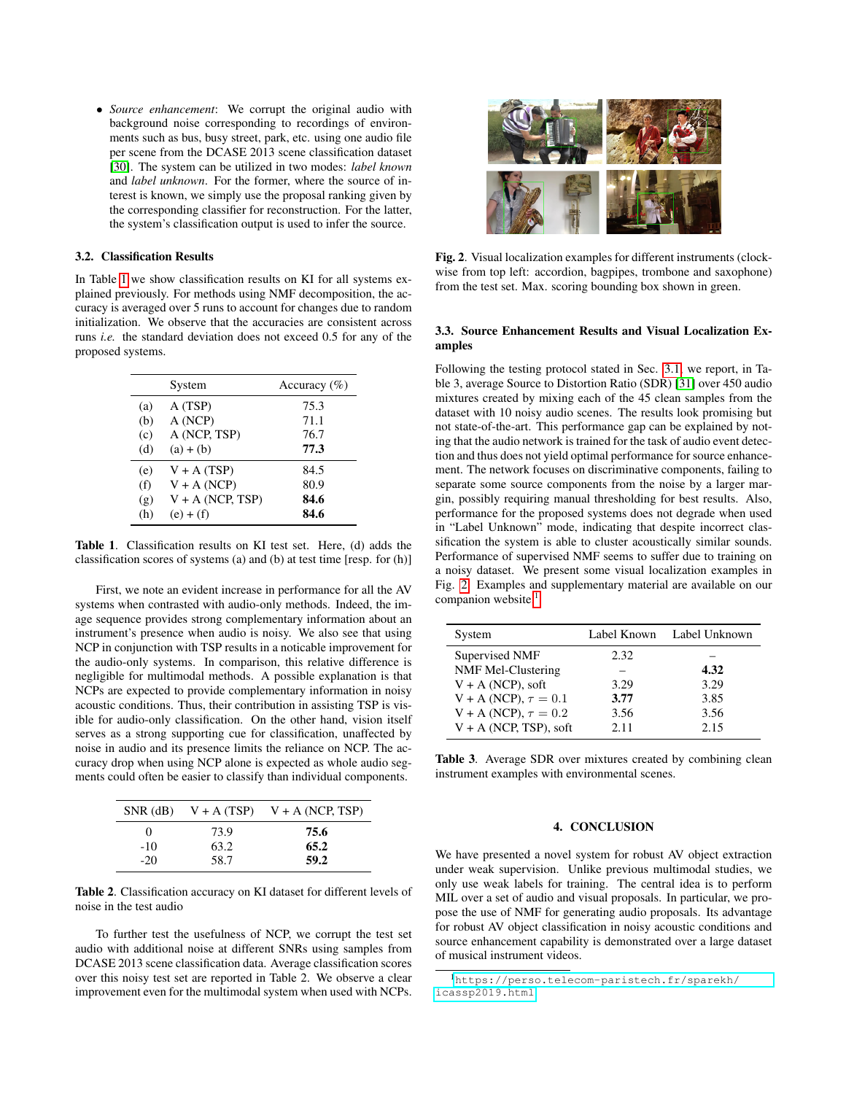• *Source enhancement*: We corrupt the original audio with background noise corresponding to recordings of environments such as bus, busy street, park, etc. using one audio file per scene from the DCASE 2013 scene classification dataset [\[30\]](#page-4-29). The system can be utilized in two modes: *label known* and *label unknown*. For the former, where the source of interest is known, we simply use the proposal ranking given by the corresponding classifier for reconstruction. For the latter, the system's classification output is used to infer the source.

## 3.2. Classification Results

In Table [1](#page-3-0) we show classification results on KI for all systems explained previously. For methods using NMF decomposition, the accuracy is averaged over 5 runs to account for changes due to random initialization. We observe that the accuracies are consistent across runs *i.e.* the standard deviation does not exceed 0.5 for any of the proposed systems.

|     | System             | Accuracy $(\% )$ |
|-----|--------------------|------------------|
| (a) | A (TSP)            | 75.3             |
| (b) | A (NCP)            | 71.1             |
| (c) | A (NCP, TSP)       | 76.7             |
| (d) | $(a) + (b)$        | 77.3             |
| (e) | $V + A(TSP)$       | 84.5             |
| (f) | $V + A (NCP)$      | 80.9             |
| (g) | $V + A$ (NCP, TSP) | 84.6             |
| (h) | $(e) + (f)$        | 84.6             |

<span id="page-3-0"></span>Table 1. Classification results on KI test set. Here, (d) adds the classification scores of systems (a) and (b) at test time [resp. for (h)]

First, we note an evident increase in performance for all the AV systems when contrasted with audio-only methods. Indeed, the image sequence provides strong complementary information about an instrument's presence when audio is noisy. We also see that using NCP in conjunction with TSP results in a noticable improvement for the audio-only systems. In comparison, this relative difference is negligible for multimodal methods. A possible explanation is that NCPs are expected to provide complementary information in noisy acoustic conditions. Thus, their contribution in assisting TSP is visible for audio-only classification. On the other hand, vision itself serves as a strong supporting cue for classification, unaffected by noise in audio and its presence limits the reliance on NCP. The accuracy drop when using NCP alone is expected as whole audio segments could often be easier to classify than individual components.

|            |      | SNR (dB) $V + A(TSP)$ $V + A(NCP, TSP)$ |
|------------|------|-----------------------------------------|
| $^{\circ}$ | 73.9 | 75.6                                    |
| $-10$      | 63.2 | 65.2                                    |
| $-20$      | 58.7 | 59.2                                    |

Table 2. Classification accuracy on KI dataset for different levels of noise in the test audio

To further test the usefulness of NCP, we corrupt the test set audio with additional noise at different SNRs using samples from DCASE 2013 scene classification data. Average classification scores over this noisy test set are reported in Table 2. We observe a clear improvement even for the multimodal system when used with NCPs.



Fig. 2. Visual localization examples for different instruments (clockwise from top left: accordion, bagpipes, trombone and saxophone) from the test set. Max. scoring bounding box shown in green.

### <span id="page-3-1"></span>3.3. Source Enhancement Results and Visual Localization Examples

Following the testing protocol stated in Sec. [3.1,](#page-2-1) we report, in Table 3, average Source to Distortion Ratio (SDR) [\[31\]](#page-4-30) over 450 audio mixtures created by mixing each of the 45 clean samples from the dataset with 10 noisy audio scenes. The results look promising but not state-of-the-art. This performance gap can be explained by noting that the audio network is trained for the task of audio event detection and thus does not yield optimal performance for source enhancement. The network focuses on discriminative components, failing to separate some source components from the noise by a larger margin, possibly requiring manual thresholding for best results. Also, performance for the proposed systems does not degrade when used in "Label Unknown" mode, indicating that despite incorrect classification the system is able to cluster acoustically similar sounds. Performance of supervised NMF seems to suffer due to training on a noisy dataset. We present some visual localization examples in Fig. [2.](#page-3-1) Examples and supplementary material are available on our companion website.<sup>[1](#page-3-2)</sup>

| System                      | Label Known | Label Unknown |
|-----------------------------|-------------|---------------|
| Supervised NMF              | 2.32        |               |
| NMF Mel-Clustering          |             | 4.32          |
| $V + A$ (NCP), soft         | 3.29        | 3.29          |
| $V + A (NCP), \tau = 0.1$   | 3.77        | 3.85          |
| $V + A(NCP)$ , $\tau = 0.2$ | 3.56        | 3.56          |
| $V + A$ (NCP, TSP), soft    | 2.11        | 2.15          |

Table 3. Average SDR over mixtures created by combining clean instrument examples with environmental scenes.

## 4. CONCLUSION

We have presented a novel system for robust AV object extraction under weak supervision. Unlike previous multimodal studies, we only use weak labels for training. The central idea is to perform MIL over a set of audio and visual proposals. In particular, we propose the use of NMF for generating audio proposals. Its advantage for robust AV object classification in noisy acoustic conditions and source enhancement capability is demonstrated over a large dataset of musical instrument videos.

<span id="page-3-2"></span><sup>1</sup>[https://perso.telecom-paristech.fr/sparekh/](https://perso.telecom-paristech.fr/sparekh/icassp2019.html) [icassp2019.html](https://perso.telecom-paristech.fr/sparekh/icassp2019.html)